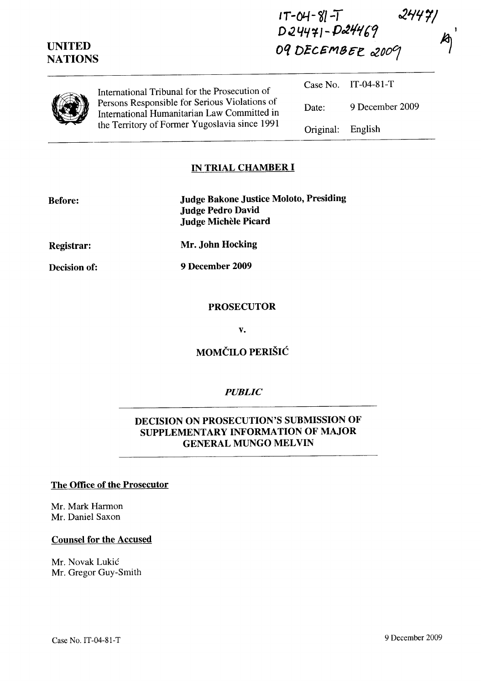| <b>UNITED</b><br><b>NATIONS</b> |                                                                                                                                               | $D24471 - D24469$<br>09 DECEMBER 2009 |                     |
|---------------------------------|-----------------------------------------------------------------------------------------------------------------------------------------------|---------------------------------------|---------------------|
|                                 | International Tribunal for the Prosecution of                                                                                                 |                                       | Case No. IT-04-81-T |
|                                 | Persons Responsible for Serious Violations of<br>International Humanitarian Law Committed in<br>the Territory of Former Yugoslavia since 1991 | Date:                                 | 9 December 2009     |
|                                 |                                                                                                                                               | Original:                             | English             |

 $IT-M-SI-T$ 

 $24421$ 

### **IN TRIAL CHAMBER I**

| <b>Before:</b>    | <b>Judge Bakone Justice Moloto, Presiding</b><br><b>Judge Pedro David</b><br>Judge Michèle Picard |
|-------------------|---------------------------------------------------------------------------------------------------|
| <b>Registrar:</b> | Mr. John Hocking                                                                                  |
| Decision of:      | 9 December 2009                                                                                   |

**PROSECUTOR** 

v.

**MOMCILO PERISIC** 

#### *PUBLIC*

### **DECISION ON PROSECUTION'S SUBMISSION OF SUPPLEMENTARY INFORMATION OF MAJOR GENERAL MUNGO MELVIN**

### **The Office of the Prosecutor**

Mr. Mark Harmon Mr. Daniel Saxon

**Decision of:** 

#### **Counsel for the Accused**

Mr. Novak Lukic Mr. Gregor Guy-Smith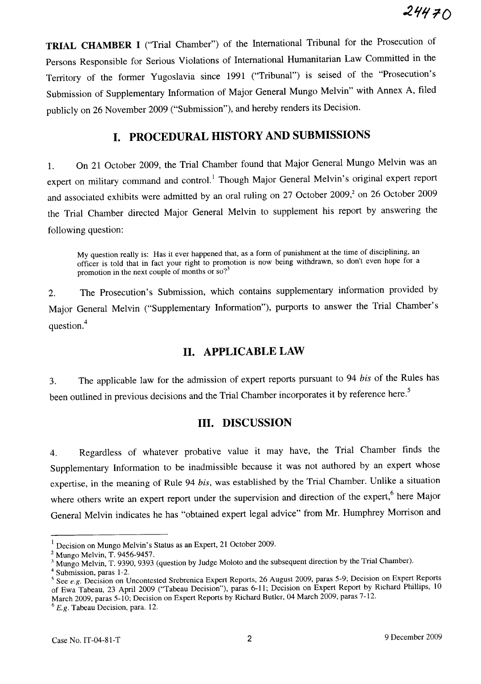**TRIAL CHAMBER I** ("Trial Chamber") of the International Tribunal for the Prosecution of Persons Responsible for Serious Violations of International Humanitarian Law Committed in the Territory of the former Yugoslavia since 1991 ("Tribunal") is seised of the "Prosecution's Submission of Supplementary Information of Major General Mungo Melvin" with Annex A, filed publicly on 26 November 2009 ("Submission"), and hereby renders its Decision.

# **I. PROCEDURAL HISTORY AND SUBMISSIONS**

1. On 21 October 2009, the Trial Chamber found that Major General Mungo Melvin was an expert on military command and control.<sup>1</sup> Though Major General Melvin's original expert report and associated exhibits were admitted by an oral ruling on 27 October 2009,<sup>2</sup> on 26 October 2009 the Trial Chamber directed Major General Melvin to supplement his report by answering the following question:

My question really is: Has it ever happened that, as a form of punishment at the time of disciplining, an officer is told that in fact your right to promotion is now being withdrawn, so don't even hope for a promotion in the next couple of months or  $\mathfrak{so}^2$ 

2. The Prosecution's Submission, which contains supplementary information provided by Major General Melvin ("Supplementary Information"), purports to answer the Trial Chamber's question.<sup>4</sup>

### **11. APPLICABLE LAW**

3. The applicable law for the admission of expert reports pursuant to 94 *bis* of the Rules has been outlined in previous decisions and the Trial Chamber incorporates it by reference here.<sup>5</sup>

### **Ill. DISCUSSION**

4. Regardless of whatever probative value it may have, the Trial Chamber finds the Supplementary Information to be inadmissible because it was not authored by an expert whose expertise, in the meaning of Rule 94 *bis,* was established by the Trial Chamber. Unlike a situation where others write an expert report under the supervision and direction of the expert,<sup>6</sup> here Major General Melvin indicates he has "obtained expert legal advice" from Mr. Humphrey Morrison and

Decision on Mungo Melvin's Status as an Expert, 21 October 2009.

<sup>2</sup> Mungo Melvin, T. 9456-9457.

<sup>&</sup>lt;sup>3</sup> Mungo Melvin, T. 9390, 9393 (question by Judge Moloto and the subsequent direction by the Trial Chamber).

<sup>4</sup> Submission, paras 1-2.

<sup>5</sup> See *e.g.* Decision on Uncontested Srebrenica Expert Reports, 26 August 2009, paras 5-9; Decision on Expert Reports of Ewa Tabeau, 23 April 2009 ("Tabeau Decision"), paras 6-11; Decision on Expert Report by Richard Phillips, 10 March 2009, paras 5-10; Decision on Expert Reports by Richard Butler, 04 March 2009, paras 7-12.

*<sup>6</sup> E.g.* Tabeau Decision, para. 12.